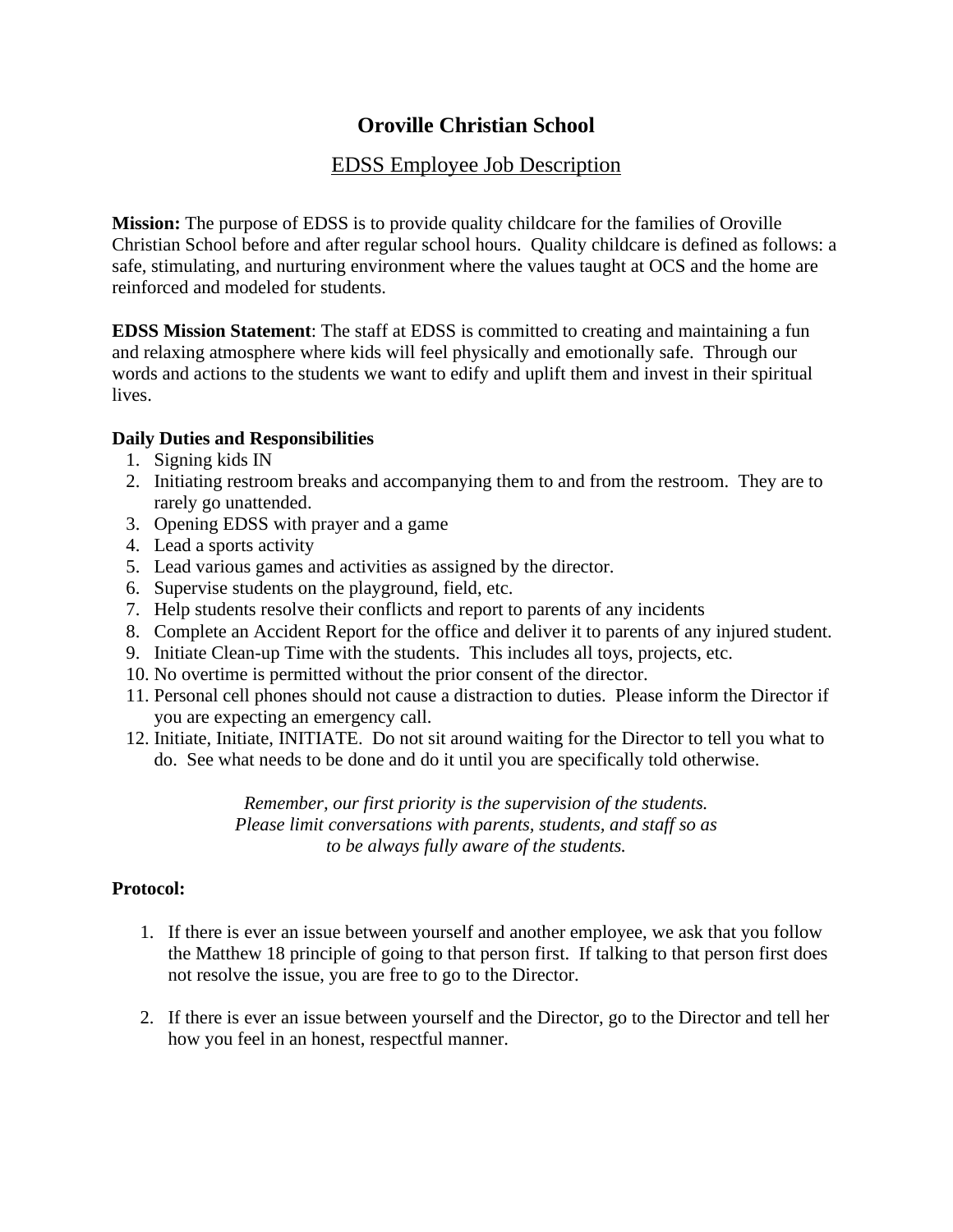## **Oroville Christian School**

## EDSS Employee Job Description

**Mission:** The purpose of EDSS is to provide quality childcare for the families of Oroville Christian School before and after regular school hours. Quality childcare is defined as follows: a safe, stimulating, and nurturing environment where the values taught at OCS and the home are reinforced and modeled for students.

**EDSS Mission Statement**: The staff at EDSS is committed to creating and maintaining a fun and relaxing atmosphere where kids will feel physically and emotionally safe. Through our words and actions to the students we want to edify and uplift them and invest in their spiritual lives.

## **Daily Duties and Responsibilities**

- 1. Signing kids IN
- 2. Initiating restroom breaks and accompanying them to and from the restroom. They are to rarely go unattended.
- 3. Opening EDSS with prayer and a game
- 4. Lead a sports activity
- 5. Lead various games and activities as assigned by the director.
- 6. Supervise students on the playground, field, etc.
- 7. Help students resolve their conflicts and report to parents of any incidents
- 8. Complete an Accident Report for the office and deliver it to parents of any injured student.
- 9. Initiate Clean-up Time with the students. This includes all toys, projects, etc.
- 10. No overtime is permitted without the prior consent of the director.
- 11. Personal cell phones should not cause a distraction to duties. Please inform the Director if you are expecting an emergency call.
- 12. Initiate, Initiate, INITIATE. Do not sit around waiting for the Director to tell you what to do. See what needs to be done and do it until you are specifically told otherwise.

*Remember, our first priority is the supervision of the students. Please limit conversations with parents, students, and staff so as to be always fully aware of the students.*

## **Protocol:**

- 1. If there is ever an issue between yourself and another employee, we ask that you follow the Matthew 18 principle of going to that person first. If talking to that person first does not resolve the issue, you are free to go to the Director.
- 2. If there is ever an issue between yourself and the Director, go to the Director and tell her how you feel in an honest, respectful manner.